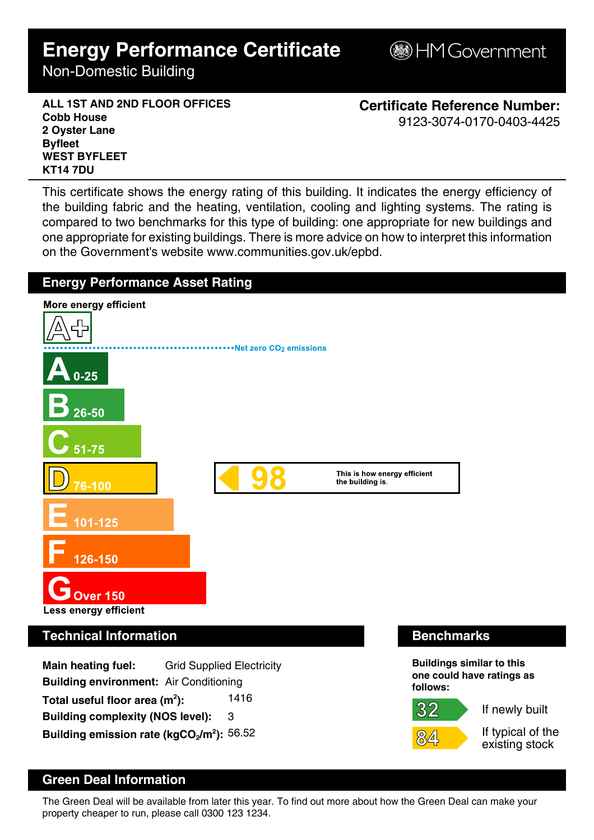# **Energy Performance Certificate**

Non-Domestic Building

**B**HM Government

**ALL 1ST AND 2ND FLOOR OFFICES Cobb House 2 Oyster Lane Byfleet WEST BYFLEET KT14 7DU**

**Certificate Reference Number:** 9123-3074-0170-0403-4425

This certificate shows the energy rating of this building. It indicates the energy efficiency of the building fabric and the heating, ventilation, cooling and lighting systems. The rating is compared to two benchmarks for this type of building: one appropriate for new buildings and one appropriate for existing buildings. There is more advice on how to interpret this information on the Government's website www.communities.gov.uk/epbd.



## **Green Deal Information**

The Green Deal will be available from later this year. To find out more about how the Green Deal can make your property cheaper to run, please call 0300 123 1234.